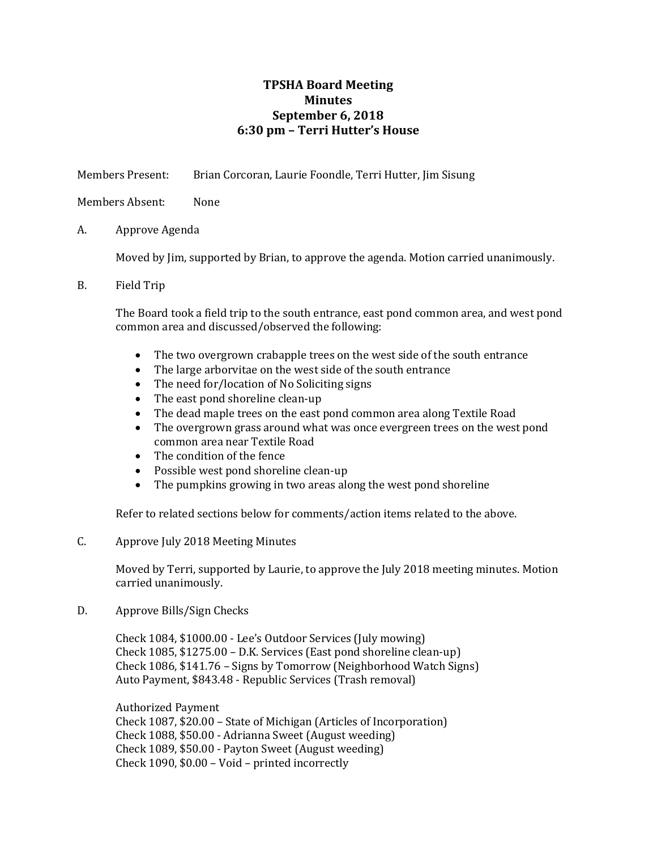# **TPSHA Board Meeting Minutes September 6, 2018 6:30 pm – Terri Hutter's House**

Members Present: Brian Corcoran, Laurie Foondle, Terri Hutter, Jim Sisung

Members Absent: None

A. Approve Agenda

Moved by Jim, supported by Brian, to approve the agenda. Motion carried unanimously.

B. Field Trip

The Board took a field trip to the south entrance, east pond common area, and west pond common area and discussed/observed the following:

- The two overgrown crabapple trees on the west side of the south entrance
- The large arborvitae on the west side of the south entrance
- The need for/location of No Soliciting signs
- The east pond shoreline clean-up
- The dead maple trees on the east pond common area along Textile Road
- The overgrown grass around what was once evergreen trees on the west pond common area near Textile Road
- The condition of the fence
- Possible west pond shoreline clean-up
- The pumpkins growing in two areas along the west pond shoreline

Refer to related sections below for comments/action items related to the above.

C. Approve July 2018 Meeting Minutes

Moved by Terri, supported by Laurie, to approve the July 2018 meeting minutes. Motion carried unanimously.

D. Approve Bills/Sign Checks

Check 1084, \$1000.00 - Lee's Outdoor Services (July mowing) Check 1085, \$1275.00 – D.K. Services (East pond shoreline clean-up) Check 1086, \$141.76 – Signs by Tomorrow (Neighborhood Watch Signs) Auto Payment, \$843.48 - Republic Services (Trash removal)

Authorized Payment Check 1087, \$20.00 – State of Michigan (Articles of Incorporation) Check 1088, \$50.00 - Adrianna Sweet (August weeding) Check 1089, \$50.00 - Payton Sweet (August weeding) Check 1090, \$0.00 – Void – printed incorrectly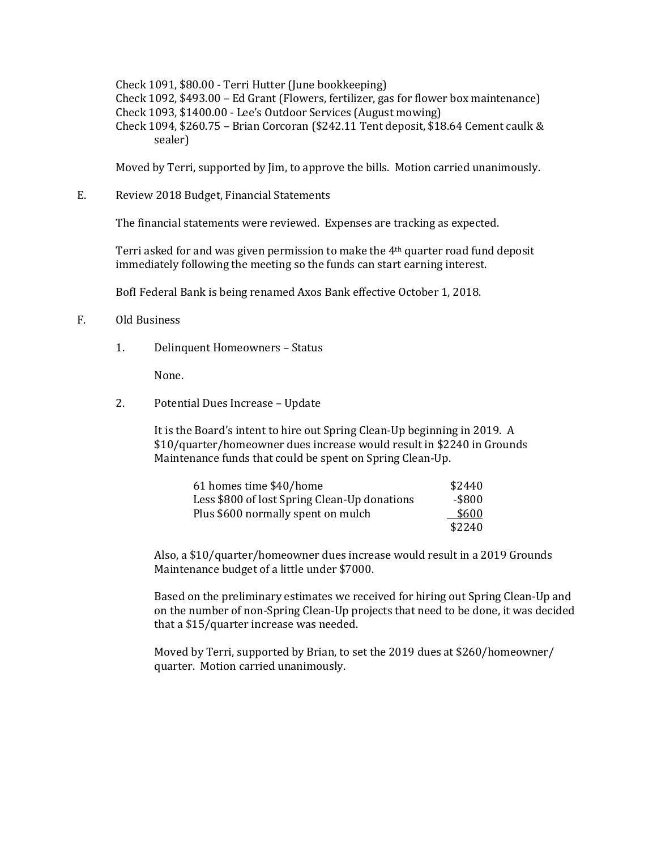Check 1091, \$80.00 - Terri Hutter (June bookkeeping) Check 1092, \$493.00 – Ed Grant (Flowers, fertilizer, gas for flower box maintenance) Check 1093, \$1400.00 - Lee's Outdoor Services (August mowing) Check 1094, \$260.75 – Brian Corcoran (\$242.11 Tent deposit, \$18.64 Cement caulk & sealer)

Moved by Terri, supported by Jim, to approve the bills. Motion carried unanimously.

E. Review 2018 Budget, Financial Statements

The financial statements were reviewed. Expenses are tracking as expected.

Terri asked for and was given permission to make the 4th quarter road fund deposit immediately following the meeting so the funds can start earning interest.

BofI Federal Bank is being renamed Axos Bank effective October 1, 2018.

#### F. Old Business

1. Delinquent Homeowners – Status

None.

2. Potential Dues Increase – Update

It is the Board's intent to hire out Spring Clean-Up beginning in 2019. A \$10/quarter/homeowner dues increase would result in \$2240 in Grounds Maintenance funds that could be spent on Spring Clean-Up.

| 61 homes time \$40/home                      | \$2440 |
|----------------------------------------------|--------|
| Less \$800 of lost Spring Clean-Up donations | -\$800 |
| Plus \$600 normally spent on mulch           | \$600  |
|                                              | \$2240 |

Also, a \$10/quarter/homeowner dues increase would result in a 2019 Grounds Maintenance budget of a little under \$7000.

Based on the preliminary estimates we received for hiring out Spring Clean-Up and on the number of non-Spring Clean-Up projects that need to be done, it was decided that a \$15/quarter increase was needed.

Moved by Terri, supported by Brian, to set the 2019 dues at \$260/homeowner/ quarter. Motion carried unanimously.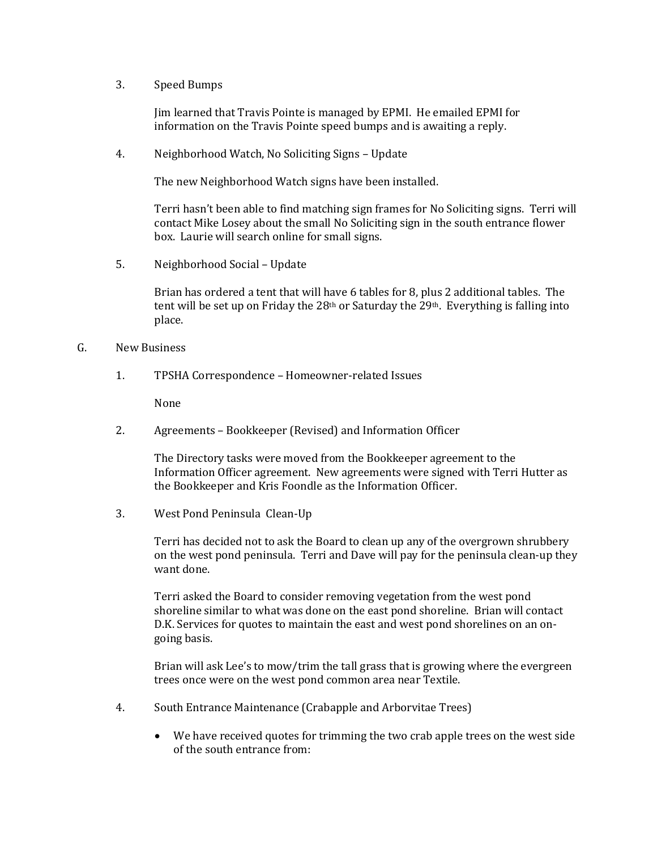3. Speed Bumps

Jim learned that Travis Pointe is managed by EPMI. He emailed EPMI for information on the Travis Pointe speed bumps and is awaiting a reply.

4. Neighborhood Watch, No Soliciting Signs – Update

The new Neighborhood Watch signs have been installed.

Terri hasn't been able to find matching sign frames for No Soliciting signs. Terri will contact Mike Losey about the small No Soliciting sign in the south entrance flower box. Laurie will search online for small signs.

5. Neighborhood Social – Update

Brian has ordered a tent that will have 6 tables for 8, plus 2 additional tables. The tent will be set up on Friday the 28<sup>th</sup> or Saturday the 29<sup>th</sup>. Everything is falling into place.

### G. New Business

1. TPSHA Correspondence – Homeowner-related Issues

None

2. Agreements – Bookkeeper (Revised) and Information Officer

The Directory tasks were moved from the Bookkeeper agreement to the Information Officer agreement. New agreements were signed with Terri Hutter as the Bookkeeper and Kris Foondle as the Information Officer.

3. West Pond Peninsula Clean-Up

Terri has decided not to ask the Board to clean up any of the overgrown shrubbery on the west pond peninsula. Terri and Dave will pay for the peninsula clean-up they want done.

Terri asked the Board to consider removing vegetation from the west pond shoreline similar to what was done on the east pond shoreline. Brian will contact D.K. Services for quotes to maintain the east and west pond shorelines on an ongoing basis.

Brian will ask Lee's to mow/trim the tall grass that is growing where the evergreen trees once were on the west pond common area near Textile.

- 4. South Entrance Maintenance (Crabapple and Arborvitae Trees)
	- We have received quotes for trimming the two crab apple trees on the west side of the south entrance from: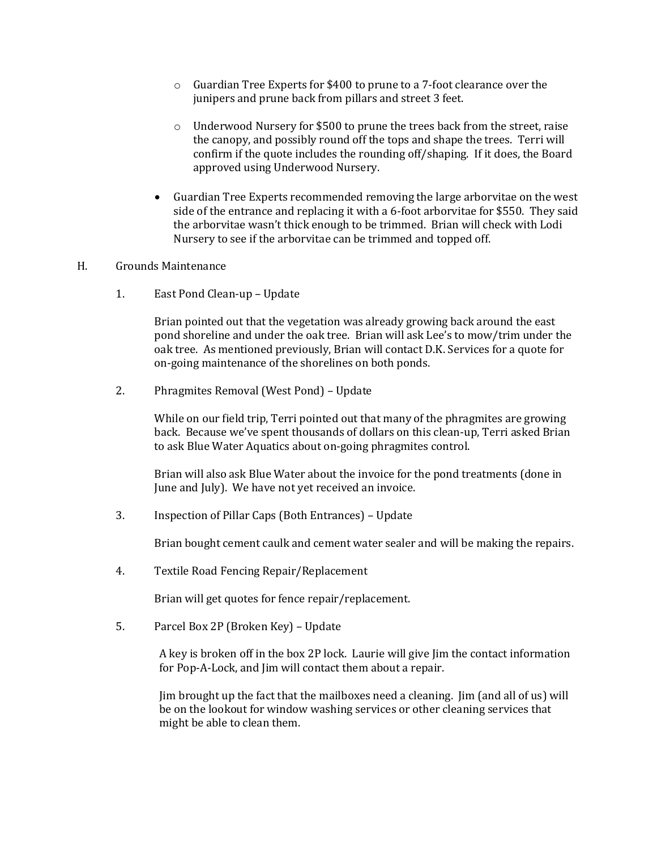- o Guardian Tree Experts for \$400 to prune to a 7-foot clearance over the junipers and prune back from pillars and street 3 feet.
- $\circ$  Underwood Nursery for \$500 to prune the trees back from the street, raise the canopy, and possibly round off the tops and shape the trees. Terri will confirm if the quote includes the rounding off/shaping. If it does, the Board approved using Underwood Nursery.
- Guardian Tree Experts recommended removing the large arborvitae on the west side of the entrance and replacing it with a 6-foot arborvitae for \$550. They said the arborvitae wasn't thick enough to be trimmed. Brian will check with Lodi Nursery to see if the arborvitae can be trimmed and topped off.

### H. Grounds Maintenance

1. East Pond Clean-up – Update

Brian pointed out that the vegetation was already growing back around the east pond shoreline and under the oak tree. Brian will ask Lee's to mow/trim under the oak tree. As mentioned previously, Brian will contact D.K. Services for a quote for on-going maintenance of the shorelines on both ponds.

2. Phragmites Removal (West Pond) – Update

While on our field trip, Terri pointed out that many of the phragmites are growing back. Because we've spent thousands of dollars on this clean-up, Terri asked Brian to ask Blue Water Aquatics about on-going phragmites control.

Brian will also ask Blue Water about the invoice for the pond treatments (done in June and July). We have not yet received an invoice.

3. Inspection of Pillar Caps (Both Entrances) – Update

Brian bought cement caulk and cement water sealer and will be making the repairs.

4. Textile Road Fencing Repair/Replacement

Brian will get quotes for fence repair/replacement.

5. Parcel Box 2P (Broken Key) – Update

A key is broken off in the box 2P lock. Laurie will give Jim the contact information for Pop-A-Lock, and Jim will contact them about a repair.

Jim brought up the fact that the mailboxes need a cleaning. Jim (and all of us) will be on the lookout for window washing services or other cleaning services that might be able to clean them.